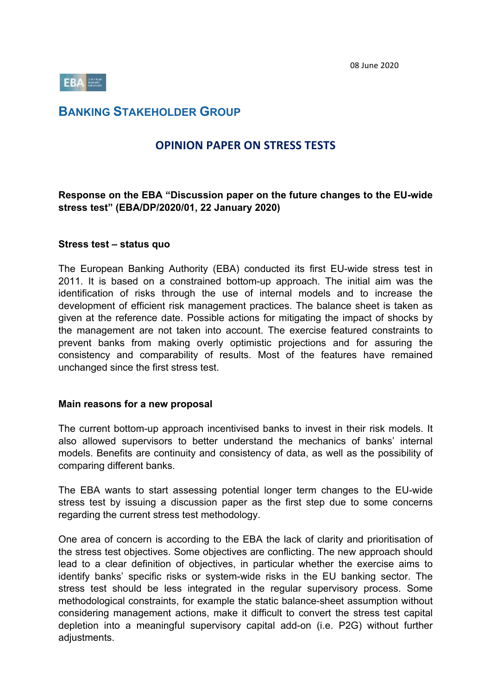08 June 2020



# **BANKING STAKEHOLDER GROUP**

# **OPINION PAPER ON STRESS TESTS**

#### **Response on the EBA "Discussion paper on the future changes to the EU-wide stress test" (EBA/DP/2020/01, 22 January 2020)**

#### **Stress test – status quo**

The European Banking Authority (EBA) conducted its first EU-wide stress test in 2011. It is based on a constrained bottom-up approach. The initial aim was the identification of risks through the use of internal models and to increase the development of efficient risk management practices. The balance sheet is taken as given at the reference date. Possible actions for mitigating the impact of shocks by the management are not taken into account. The exercise featured constraints to prevent banks from making overly optimistic projections and for assuring the consistency and comparability of results. Most of the features have remained unchanged since the first stress test.

#### **Main reasons for a new proposal**

The current bottom-up approach incentivised banks to invest in their risk models. It also allowed supervisors to better understand the mechanics of banks' internal models. Benefits are continuity and consistency of data, as well as the possibility of comparing different banks.

The EBA wants to start assessing potential longer term changes to the EU-wide stress test by issuing a discussion paper as the first step due to some concerns regarding the current stress test methodology.

One area of concern is according to the EBA the lack of clarity and prioritisation of the stress test objectives. Some objectives are conflicting. The new approach should lead to a clear definition of objectives, in particular whether the exercise aims to identify banks' specific risks or system-wide risks in the EU banking sector. The stress test should be less integrated in the regular supervisory process. Some methodological constraints, for example the static balance-sheet assumption without considering management actions, make it difficult to convert the stress test capital depletion into a meaningful supervisory capital add-on (i.e. P2G) without further adjustments.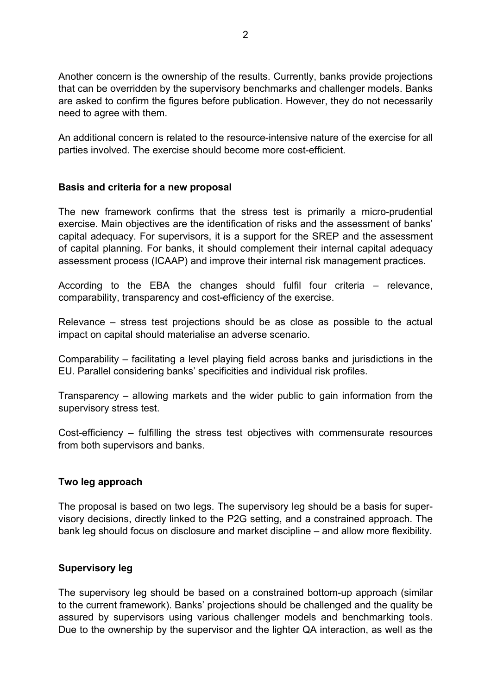Another concern is the ownership of the results. Currently, banks provide projections that can be overridden by the supervisory benchmarks and challenger models. Banks are asked to confirm the figures before publication. However, they do not necessarily need to agree with them.

An additional concern is related to the resource-intensive nature of the exercise for all parties involved. The exercise should become more cost-efficient.

#### **Basis and criteria for a new proposal**

The new framework confirms that the stress test is primarily a micro-prudential exercise. Main objectives are the identification of risks and the assessment of banks' capital adequacy. For supervisors, it is a support for the SREP and the assessment of capital planning. For banks, it should complement their internal capital adequacy assessment process (ICAAP) and improve their internal risk management practices.

According to the EBA the changes should fulfil four criteria – relevance, comparability, transparency and cost-efficiency of the exercise.

Relevance – stress test projections should be as close as possible to the actual impact on capital should materialise an adverse scenario.

Comparability – facilitating a level playing field across banks and jurisdictions in the EU. Parallel considering banks' specificities and individual risk profiles.

Transparency – allowing markets and the wider public to gain information from the supervisory stress test.

Cost-efficiency – fulfilling the stress test objectives with commensurate resources from both supervisors and banks.

#### **Two leg approach**

The proposal is based on two legs. The supervisory leg should be a basis for supervisory decisions, directly linked to the P2G setting, and a constrained approach. The bank leg should focus on disclosure and market discipline – and allow more flexibility.

#### **Supervisory leg**

The supervisory leg should be based on a constrained bottom-up approach (similar to the current framework). Banks' projections should be challenged and the quality be assured by supervisors using various challenger models and benchmarking tools. Due to the ownership by the supervisor and the lighter QA interaction, as well as the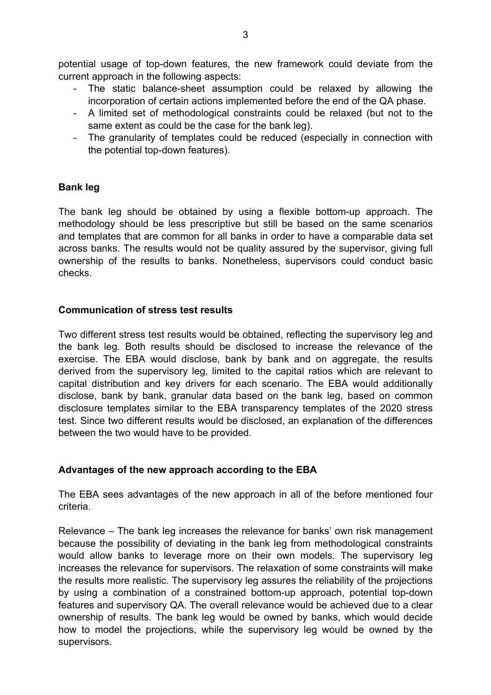potential usage of top-down features, the new framework could deviate from the current approach in the following aspects:

- The static balance-sheet assumption could be relaxed by allowing the incorporation of certain actions implemented before the end of the QA phase.
- A limited set of methodological constraints could be relaxed (but not to the same extent as could be the case for the bank leg).
- The granularity of templates could be reduced (especially in connection with the potential top-down features).

# **Bank leg**

The bank leg should be obtained by using a flexible bottom-up approach. The methodology should be less prescriptive but still be based on the same scenarios and templates that are common for all banks in order to have a comparable data set across banks. The results would not be quality assured by the supervisor, giving full ownership of the results to banks. Nonetheless, supervisors could conduct basic checks.

## **Communication of stress test results**

Two different stress test results would be obtained, reflecting the supervisory leg and the bank leg. Both results should be disclosed to increase the relevance of the exercise. The EBA would disclose, bank by bank and on aggregate, the results derived from the supervisory leg, limited to the capital ratios which are relevant to capital distribution and key drivers for each scenario. The EBA would additionally disclose, bank by bank, granular data based on the bank leg, based on common disclosure templates similar to the EBA transparency templates of the 2020 stress test. Since two different results would be disclosed, an explanation of the differences between the two would have to be provided.

# **Advantages of the new approach according to the EBA**

The EBA sees advantages of the new approach in all of the before mentioned four criteria.

Relevance – The bank leg increases the relevance for banks' own risk management because the possibility of deviating in the bank leg from methodological constraints would allow banks to leverage more on their own models. The supervisory leg increases the relevance for supervisors. The relaxation of some constraints will make the results more realistic. The supervisory leg assures the reliability of the projections by using a combination of a constrained bottom-up approach, potential top-down features and supervisory QA. The overall relevance would be achieved due to a clear ownership of results. The bank leg would be owned by banks, which would decide how to model the projections, while the supervisory leg would be owned by the supervisors.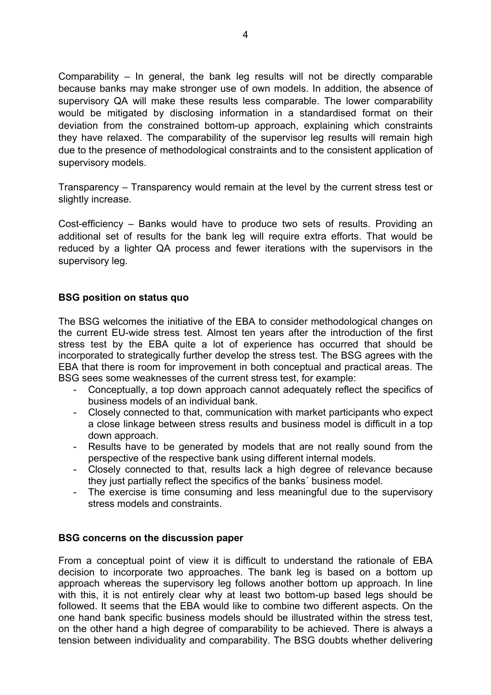Comparability – In general, the bank leg results will not be directly comparable because banks may make stronger use of own models. In addition, the absence of supervisory QA will make these results less comparable. The lower comparability would be mitigated by disclosing information in a standardised format on their deviation from the constrained bottom-up approach, explaining which constraints they have relaxed. The comparability of the supervisor leg results will remain high due to the presence of methodological constraints and to the consistent application of supervisory models.

Transparency – Transparency would remain at the level by the current stress test or slightly increase.

Cost-efficiency – Banks would have to produce two sets of results. Providing an additional set of results for the bank leg will require extra efforts. That would be reduced by a lighter QA process and fewer iterations with the supervisors in the supervisory leg.

## **BSG position on status quo**

The BSG welcomes the initiative of the EBA to consider methodological changes on the current EU-wide stress test. Almost ten years after the introduction of the first stress test by the EBA quite a lot of experience has occurred that should be incorporated to strategically further develop the stress test. The BSG agrees with the EBA that there is room for improvement in both conceptual and practical areas. The BSG sees some weaknesses of the current stress test, for example:

- Conceptually, a top down approach cannot adequately reflect the specifics of business models of an individual bank.
- Closely connected to that, communication with market participants who expect a close linkage between stress results and business model is difficult in a top down approach.
- Results have to be generated by models that are not really sound from the perspective of the respective bank using different internal models.
- Closely connected to that, results lack a high degree of relevance because they just partially reflect the specifics of the banks´ business model.
- The exercise is time consuming and less meaningful due to the supervisory stress models and constraints.

#### **BSG concerns on the discussion paper**

From a conceptual point of view it is difficult to understand the rationale of EBA decision to incorporate two approaches. The bank leg is based on a bottom up approach whereas the supervisory leg follows another bottom up approach. In line with this, it is not entirely clear why at least two bottom-up based legs should be followed. It seems that the EBA would like to combine two different aspects. On the one hand bank specific business models should be illustrated within the stress test, on the other hand a high degree of comparability to be achieved. There is always a tension between individuality and comparability. The BSG doubts whether delivering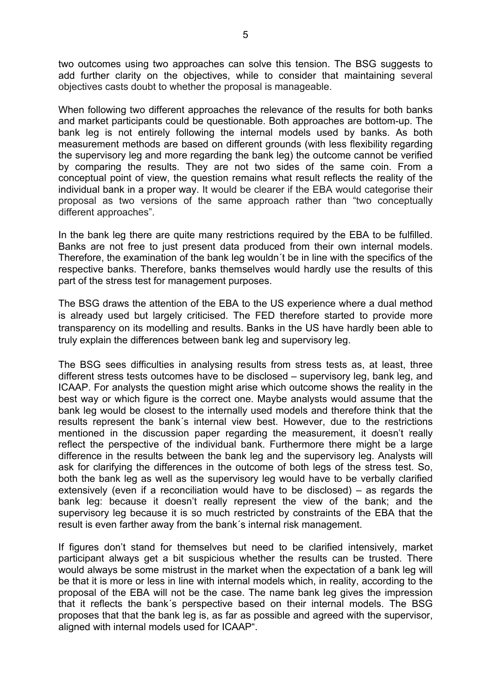two outcomes using two approaches can solve this tension. The BSG suggests to add further clarity on the objectives, while to consider that maintaining several objectives casts doubt to whether the proposal is manageable.

When following two different approaches the relevance of the results for both banks and market participants could be questionable. Both approaches are bottom-up. The bank leg is not entirely following the internal models used by banks. As both measurement methods are based on different grounds (with less flexibility regarding the supervisory leg and more regarding the bank leg) the outcome cannot be verified by comparing the results. They are not two sides of the same coin. From a conceptual point of view, the question remains what result reflects the reality of the individual bank in a proper way. It would be clearer if the EBA would categorise their proposal as two versions of the same approach rather than "two conceptually different approaches".

In the bank leg there are quite many restrictions required by the EBA to be fulfilled. Banks are not free to just present data produced from their own internal models. Therefore, the examination of the bank leg wouldn´t be in line with the specifics of the respective banks. Therefore, banks themselves would hardly use the results of this part of the stress test for management purposes.

The BSG draws the attention of the EBA to the US experience where a dual method is already used but largely criticised. The FED therefore started to provide more transparency on its modelling and results. Banks in the US have hardly been able to truly explain the differences between bank leg and supervisory leg.

The BSG sees difficulties in analysing results from stress tests as, at least, three different stress tests outcomes have to be disclosed – supervisory leg, bank leg, and ICAAP. For analysts the question might arise which outcome shows the reality in the best way or which figure is the correct one. Maybe analysts would assume that the bank leg would be closest to the internally used models and therefore think that the results represent the bank´s internal view best. However, due to the restrictions mentioned in the discussion paper regarding the measurement, it doesn't really reflect the perspective of the individual bank. Furthermore there might be a large difference in the results between the bank leg and the supervisory leg. Analysts will ask for clarifying the differences in the outcome of both legs of the stress test. So, both the bank leg as well as the supervisory leg would have to be verbally clarified extensively (even if a reconciliation would have to be disclosed) – as regards the bank leg: because it doesn't really represent the view of the bank; and the supervisory leg because it is so much restricted by constraints of the EBA that the result is even farther away from the bank´s internal risk management.

If figures don't stand for themselves but need to be clarified intensively, market participant always get a bit suspicious whether the results can be trusted. There would always be some mistrust in the market when the expectation of a bank leg will be that it is more or less in line with internal models which, in reality, according to the proposal of the EBA will not be the case. The name bank leg gives the impression that it reflects the bank´s perspective based on their internal models. The BSG proposes that that the bank leg is, as far as possible and agreed with the supervisor, aligned with internal models used for ICAAP".